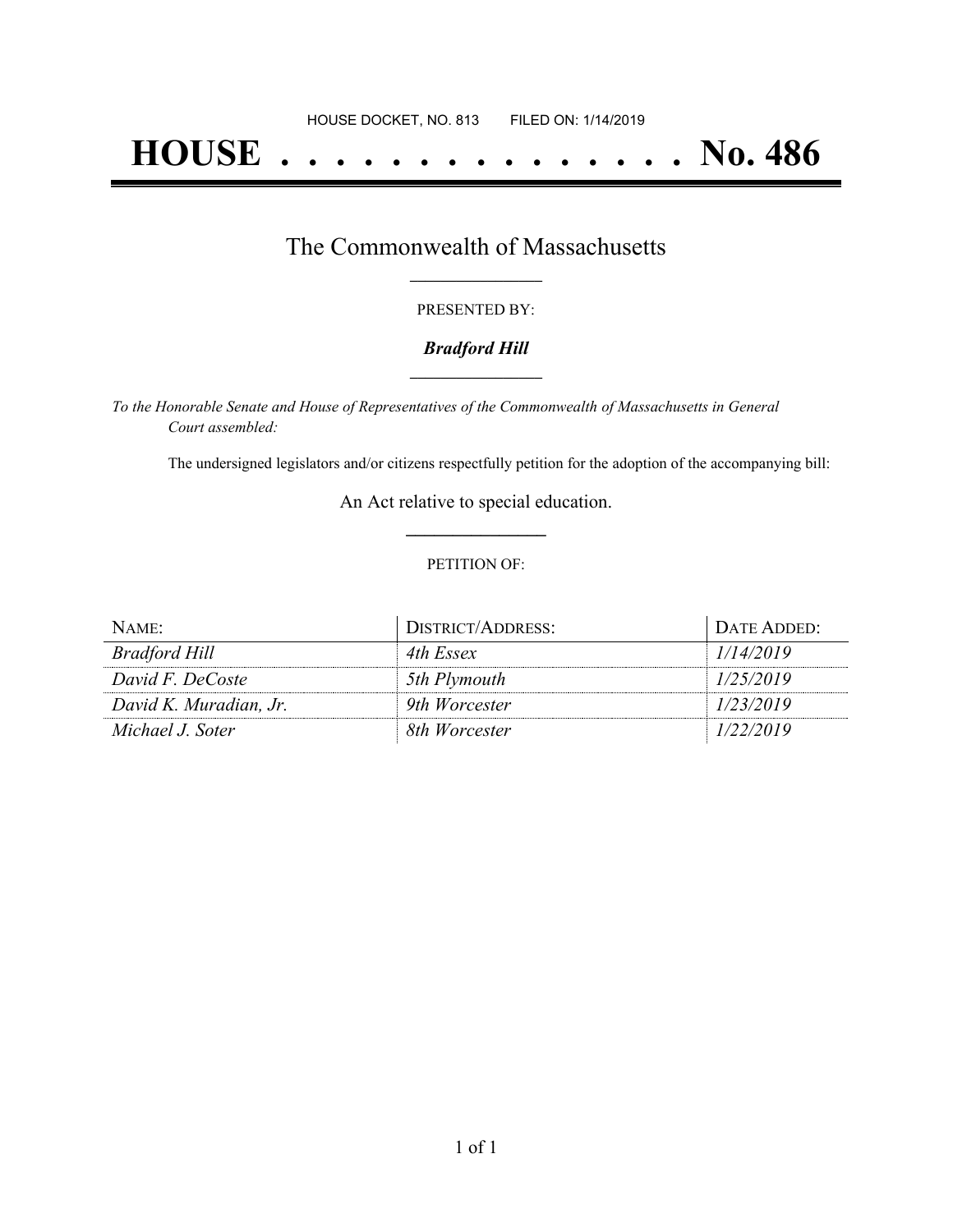# **HOUSE . . . . . . . . . . . . . . . No. 486**

### The Commonwealth of Massachusetts **\_\_\_\_\_\_\_\_\_\_\_\_\_\_\_\_\_**

#### PRESENTED BY:

#### *Bradford Hill* **\_\_\_\_\_\_\_\_\_\_\_\_\_\_\_\_\_**

*To the Honorable Senate and House of Representatives of the Commonwealth of Massachusetts in General Court assembled:*

The undersigned legislators and/or citizens respectfully petition for the adoption of the accompanying bill:

An Act relative to special education. **\_\_\_\_\_\_\_\_\_\_\_\_\_\_\_**

#### PETITION OF:

| NAME:                  | DISTRICT/ADDRESS: | DATE ADDED: |
|------------------------|-------------------|-------------|
| Bradford Hill          | 4th Essex         | 1/14/2019   |
| David F. DeCoste       | 5th Plymouth      | 1/25/2019   |
| David K. Muradian, Jr. | 9th Worcester     | 1/23/2019   |
| Michael J. Soter       | 8th Worcester     | 1/22/2019   |